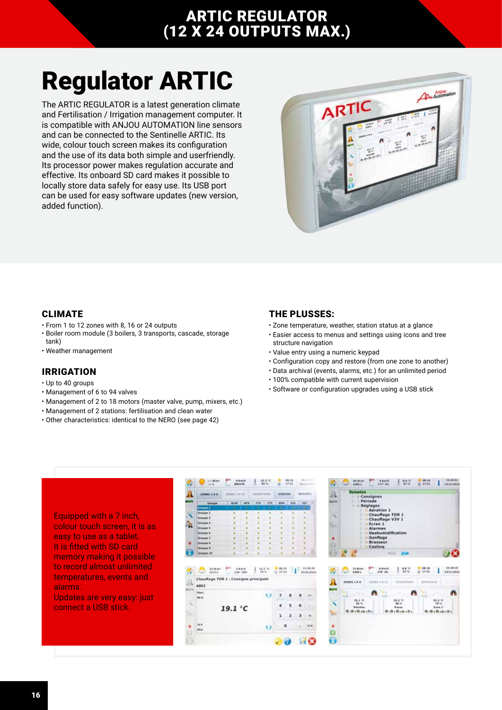# ARTIC REGULATOR (12 X 24 OUTPUTS MAX.)

# Regulator ARTIC

The ARTIC REGULATOR is a latest generation climate and Fertilisation / Irrigation management computer. It is compatible with ANJOU AUTOMATION line sensors and can be connected to the Sentinelle ARTIC. Its wide, colour touch screen makes its configuration and the use of its data both simple and userfriendly. Its processor power makes regulation accurate and effective. Its onboard SD card makes it possible to locally store data safely for easy use. Its USB port can be used for easy software updates (new version, added function).



#### CLIMATE

- From 1 to 12 zones with 8, 16 or 24 outputs
- Boiler room module (3 boilers, 3 transports, cascade, storage
- tank)
- Weather management

#### IRRIGATION

- Up to 40 groups
- Management of 6 to 94 valves
- Management of 2 to 18 motors (master valve, pump, mixers, etc.)
- Management of 2 stations: fertilisation and clean water
- Other characteristics: identical to the NERO (see page 42)

#### THE PLUSSES:

- Zone temperature, weather, station status at a glance
- Easier access to menus and settings using icons and tree structure navigation
- Value entry using a numeric keypad
- Configuration copy and restore (from one zone to another)
- Data archival (events, alarms, etc.) for an unlimited period
- 100% compatible with current supervision
- Software or configuration upgrades using a USB stick

Equipped with a 7 inch, colour touch screen, it is as easy to use as a tablet. It is fitted with SD card memory making it possible to record almost unlimited temperatures, events and alarms.

Updates are very easy: just connect a USB stick.

| <b>JONES LAB</b>                                                                | <b>ITINER TAILT</b> |                     | <b>CONSTRAIN</b>    |            | <b>STATION</b>          |            | GAILIPES                 | $\Lambda$ |                | <b>Tomates</b><br>Cansignes |               |                    |                           |                   |                       |                            |
|---------------------------------------------------------------------------------|---------------------|---------------------|---------------------|------------|-------------------------|------------|--------------------------|-----------|----------------|-----------------------------|---------------|--------------------|---------------------------|-------------------|-----------------------|----------------------------|
|                                                                                 | 1: Actif            | <b>HFX</b>          | <b>CONT. I CITE</b> |            | <b>Aust</b>             | <b>BOX</b> | $+880$                   | www       |                |                             | Période       |                    |                           |                   |                       |                            |
| Groupe<br>mark 1                                                                |                     |                     |                     |            | ٠                       |            |                          |           |                |                             | A Réglages    |                    |                           |                   |                       |                            |
| Groups 3                                                                        |                     |                     |                     | ٠          | ٠                       |            |                          |           |                |                             |               | Aération 1         |                           |                   |                       |                            |
| <b>Gresser 3</b>                                                                |                     |                     |                     |            |                         |            |                          | ۹.        |                |                             |               | Chauffage TOR 1    |                           |                   |                       |                            |
| <b>Crimes 4</b>                                                                 |                     |                     |                     |            |                         |            |                          |           |                |                             | Ecran 1       | Chauffage V3V 1    |                           |                   |                       |                            |
| Drauge 1                                                                        |                     |                     |                     |            |                         |            |                          | w         | <b>Alarmes</b> |                             |               |                    |                           |                   |                       |                            |
| Griupe 8                                                                        |                     |                     |                     |            |                         |            |                          |           |                |                             |               |                    | <b>Deshumidification</b>  |                   |                       |                            |
| <b>Groupe 1</b>                                                                 |                     |                     |                     |            |                         |            |                          | o         | Gonflage       |                             |               |                    |                           |                   |                       |                            |
| <b>Groupe 8</b>                                                                 |                     |                     |                     |            |                         |            |                          | Ð         |                |                             |               | Brasseur           |                           |                   |                       |                            |
| Dresser 9                                                                       |                     |                     |                     |            |                         |            |                          |           |                |                             | Cooling       |                    |                           |                   |                       |                            |
| Groups 10                                                                       |                     |                     |                     |            |                         |            |                          |           |                |                             |               |                    | <b>DO</b><br>AC ALL       |                   |                       |                            |
| 33 Wine<br>HILLER.<br><b>Septima</b>                                            | y in                | 3 Km/h<br>2167 (SE) | 25%                 | $11.1 - E$ | <b>C</b> ex.15<br>0.031 |            | 13, 36, 28<br>BLING GOLD |           |                | TERRIN<br><b>KANSA</b>      | $\frac{1}{2}$ | 4 Km/h<br>279' (8) | 8.8 <sup>1</sup> C<br>67% | 08:18<br>0.1741   |                       |                            |
|                                                                                 |                     |                     |                     |            |                         |            |                          |           |                | <b>BONES LA K</b>           |               | TOWN VALL          | CHAMPERIE                 | <b>AARUILAJOS</b> |                       |                            |
|                                                                                 |                     |                     |                     | 63         |                         |            |                          |           |                |                             | n             |                    |                           |                   |                       |                            |
|                                                                                 |                     |                     |                     |            |                         |            |                          |           |                | <b>BLET</b>                 |               |                    | 26.3%                     |                   | $25.2\%$              |                            |
|                                                                                 |                     |                     |                     |            | ٠                       | 5          | 6                        |           |                | 42%<br><b>Tomishan</b>      |               |                    | 86%<br>Roods              |                   | 79%<br>Tens 3         |                            |
|                                                                                 | 19.1 °C             |                     |                     |            |                         |            |                          |           |                | 数据:路由记载:                    |               |                    | 小期3街で開く                   |                   | <b>B. B. Altakobi</b> |                            |
|                                                                                 |                     |                     |                     |            | ı                       | 2          | з<br>$\epsilon$          |           |                |                             |               |                    |                           |                   |                       |                            |
|                                                                                 |                     |                     |                     |            | ۰                       |            | $\rightarrow$            | ۰         |                |                             |               |                    |                           |                   |                       |                            |
|                                                                                 |                     |                     |                     | Ü          |                         |            |                          |           |                |                             |               |                    |                           |                   |                       |                            |
| Chauffage TOR 1 : Consigne principale<br>AB01<br>mant<br>98.8<br>$-4.8$<br>Win- |                     |                     |                     |            |                         |            |                          | Ō         |                |                             |               |                    |                           |                   |                       | 15.20.18<br>EXILORES:<br>m |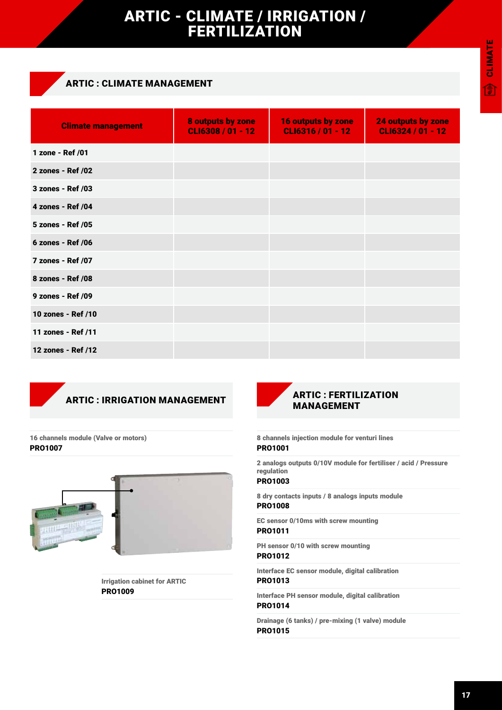## ARTIC - CLIMATE / IRRIGATION / FERTILIZATION

### ARTIC : CLIMATE MANAGEMENT

| <b>Climate management</b> | 8 outputs by zone<br>CLI6308 / 01 - 12 | <b>16 outputs by zone</b><br>CLI6316 / 01 - 12 | <b>24 outputs by zone</b><br>CLI6324 / 01 - 12 |
|---------------------------|----------------------------------------|------------------------------------------------|------------------------------------------------|
| 1 zone - Ref /01          |                                        |                                                |                                                |
| 2 zones - Ref /02         |                                        |                                                |                                                |
| 3 zones - Ref /03         |                                        |                                                |                                                |
| 4 zones - Ref /04         |                                        |                                                |                                                |
| 5 zones - Ref /05         |                                        |                                                |                                                |
| 6 zones - Ref /06         |                                        |                                                |                                                |
| 7 zones - Ref /07         |                                        |                                                |                                                |
| 8 zones - Ref /08         |                                        |                                                |                                                |
| 9 zones - Ref /09         |                                        |                                                |                                                |
| 10 zones - Ref /10        |                                        |                                                |                                                |
| 11 zones - Ref /11        |                                        |                                                |                                                |
| 12 zones - Ref /12        |                                        |                                                |                                                |

### ARTIC : IRRIGATION MANAGEMENT

16 channels module (Valve or motors) PRO1007



Irrigation cabinet for ARTIC PRO1009



#### 8 channels injection module for venturi lines PRO1001

2 analogs outputs 0/10V module for fertiliser / acid / Pressure regulation

#### PRO1003

8 dry contacts inputs / 8 analogs inputs module PRO1008

EC sensor 0/10ms with screw mounting PRO1011

PH sensor 0/10 with screw mounting

### PRO1012

Interface EC sensor module, digital calibration PRO1013

Interface PH sensor module, digital calibration PRO1014

Drainage (6 tanks) / pre-mixing (1 valve) module PRO1015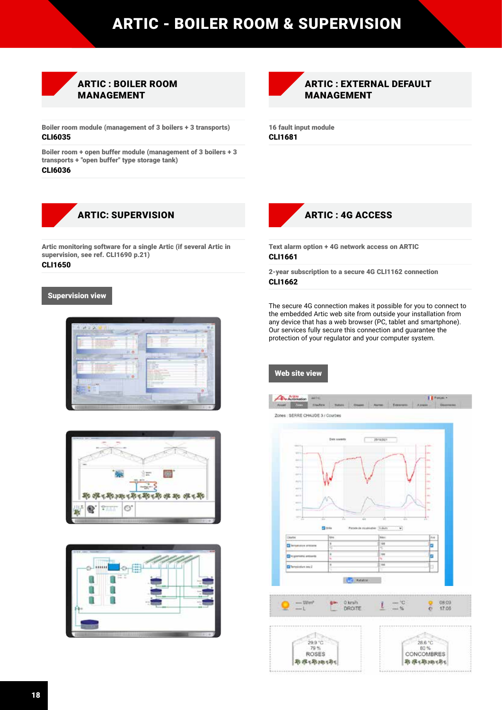# ARTIC - BOILER ROOM & SUPERVISION



Boiler room module (management of 3 boilers + 3 transports)

CLI6035

Boiler room + open buffer module (management of 3 boilers + 3 transports + "open buffer" type storage tank) CLI6036



Artic monitoring software for a single Artic (if several Artic in supervision, see ref. CLI1690 p.21)

### CLI1650

#### Supervision view









16 fault input module CLI1681



Text alarm option + 4G network access on ARTIC CLI1661

2-year subscription to a secure 4G CLI1162 connection CLI1662

The secure 4G connection makes it possible for you to connect to the embedded Artic web site from outside your installation from any device that has a web browser (PC, tablet and smartphone). Our services fully secure this connection and guarantee the protection of your regulator and your computer system.

#### Web site view